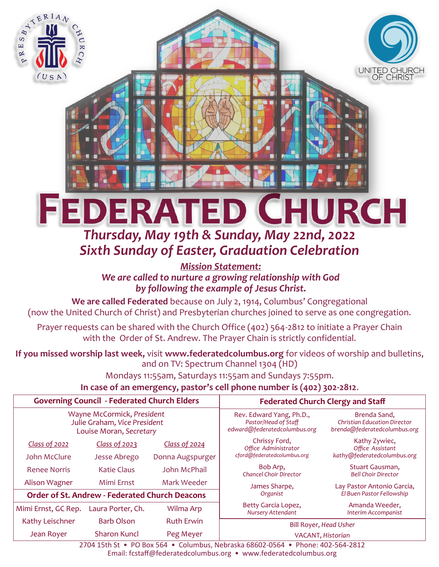

# *Thursday, May 19th & Sunday, May 22nd, 2022 Sixth Sunday of Easter, Graduation Celebration*

*Mission Statement: We are called to nurture a growing relationship with God by following the example of Jesus Christ.*

**We are called Federated** because on July 2, 1914, Columbus' Congregational (now the United Church of Christ) and Presbyterian churches joined to serve as one congregation.

Prayer requests can be shared with the Church Office (402) 564-2812 to initiate a Prayer Chain with the Order of St. Andrew. The Prayer Chain is strictly confidential.

# **If you missed worship last week,** visit **www.federatedcolumbus.org** for videos of worship and bulletins, and on TV: Spectrum Channel 1304 (HD)

Mondays 11:55am, Saturdays 11:55am and Sundays 7:55pm.

**In case of an emergency, pastor's cell phone number is (402) 302-2812**.

| <b>Governing Council - Federated Church Elders</b>                                    |                                                       |                   | <b>Federated Church Clergy and Staff</b>                                         |                                                                                     |
|---------------------------------------------------------------------------------------|-------------------------------------------------------|-------------------|----------------------------------------------------------------------------------|-------------------------------------------------------------------------------------|
| Wayne McCormick, President<br>Julie Graham, Vice President<br>Louise Moran, Secretary |                                                       |                   | Rev. Edward Yang, Ph.D.,<br>Pastor/Head of Staff<br>edward@federatedcolumbus.org | Brenda Sand,<br><b>Christian Education Director</b><br>brenda@federatedcolumbus.org |
| Class of 2022                                                                         | Class of 2023                                         | Class of 2024     | Chrissy Ford,<br>Office Administrator<br>cford@federatedcolumbus.org             | Kathy Zywiec,<br>Office Assistant<br>kathy@federatedcolumbus.org                    |
| John McClure                                                                          | Jesse Abrego                                          | Donna Augspurger  |                                                                                  |                                                                                     |
| <b>Renee Norris</b>                                                                   | <b>Katie Claus</b>                                    | John McPhail      | Bob Arp,<br><b>Chancel Choir Director</b>                                        | Stuart Gausman,<br><b>Bell Choir Director</b>                                       |
| Alison Wagner                                                                         | Mimi Frnst                                            | Mark Weeder       | James Sharpe,                                                                    | Lay Pastor Antonio Garcia,                                                          |
|                                                                                       | <b>Order of St. Andrew - Federated Church Deacons</b> |                   | Organist                                                                         | El Buen Pastor Fellowship                                                           |
| Mimi Ernst, GC Rep.                                                                   | Laura Porter, Ch.                                     | Wilma Arp         | Betty Garcia Lopez,<br>Nursery Attendant                                         | Amanda Weeder,<br>Interim Accompanist                                               |
| Kathy Leischner                                                                       | <b>Barb Olson</b>                                     | <b>Ruth Erwin</b> | Bill Royer, Head Usher                                                           |                                                                                     |
| Jean Royer                                                                            | Sharon Kuncl                                          | Peg Meyer         | VACANT, Historian                                                                |                                                                                     |

2704 15th St • PO Box 564 • Columbus, Nebraska 68602-0564 • Phone: 402-564-2812 Email: fcstaff@federatedcolumbus.org • www.federatedcolumbus.org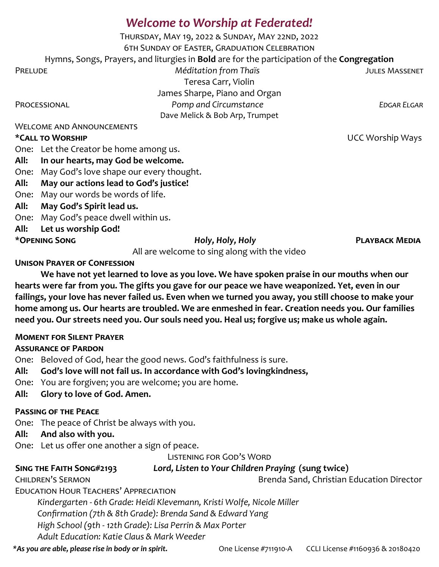# *Welcome to Worship at Federated!*

Thursday, May 19, 2022 & Sunday, May 22nd, 2022 6th Sunday of Easter, Graduation Celebration Hymns, Songs, Prayers, and liturgies in **Bold** are for the participation of the **Congregation** Prelude *Méditation from Thaïs* Jules Massenet Teresa Carr, Violin James Sharpe, Piano and Organ PROCESSIONAL *Pomp and Circumstance EDGAR ELGAR* Dave Melick & Bob Arp, Trumpet

Welcome and Announcements

### **\*Call to Worship** UCC Worship Ways

One: Let the Creator be home among us.

**All: In our hearts, may God be welcome.**

One: May God's love shape our every thought.

**All: May our actions lead to God's justice!**

One: May our words be words of life.

**All: May God's Spirit lead us.**

One: May God's peace dwell within us.

**All: Let us worship God!**

**\*Opening Song** *Holy, Holy, Holy* **Playback Media**

All are welcome to sing along with the video

**Unison Prayer of Confession**

**We have not yet learned to love as you love. We have spoken praise in our mouths when our hearts were far from you. The gifts you gave for our peace we have weaponized. Yet, even in our failings, your love has never failed us. Even when we turned you away, you still choose to make your home among us. Our hearts are troubled. We are enmeshed in fear. Creation needs you. Our families need you. Our streets need you. Our souls need you. Heal us; forgive us; make us whole again.**

### **Moment for Silent Prayer**

## **Assurance of Pardon**

One: Beloved of God, hear the good news. God's faithfulness is sure.

## **All: God's love will not fail us. In accordance with God's lovingkindness,**

- One: You are forgiven; you are welcome; you are home.
- **All: Glory to love of God. Amen.**

## **Passing of the Peace**

One: The peace of Christ be always with you.

## **All: And also with you.**

One: Let us offer one another a sign of peace.

Listening for God's Word

# **Sing the Faith Song#2193** *Lord, Listen to Your Children Praying* **(sung twice)**

CHILDREN'S SERMON **Brenda Sand, Christian Education Director** 

Education Hour Teachers' Appreciation

*Kindergarten - 6th Grade: Heidi Klevemann, Kristi Wolfe, Nicole Miller*

*Confirmation (7th & 8th Grade): Brenda Sand & Edward Yang* 

*High School (9th - 12th Grade): Lisa Perrin & Max Porter* 

*Adult Education: Katie Claus & Mark Weeder*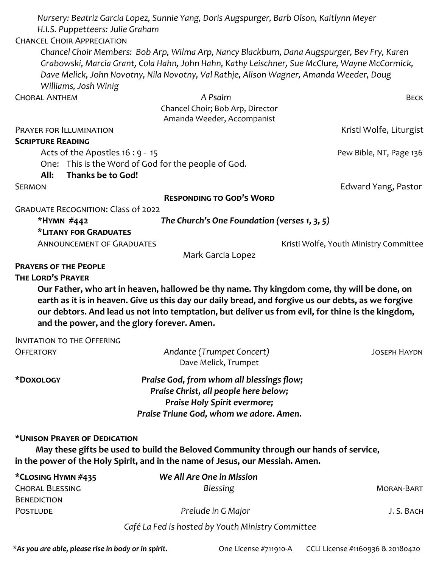| H.I.S. Puppetteers: Julie Graham                                        | Nursery: Beatriz Garcia Lopez, Sunnie Yang, Doris Augspurger, Barb Olson, Kaitlynn Meyer                                                                                                                                                                                                                |                                        |  |  |  |  |
|-------------------------------------------------------------------------|---------------------------------------------------------------------------------------------------------------------------------------------------------------------------------------------------------------------------------------------------------------------------------------------------------|----------------------------------------|--|--|--|--|
| <b>CHANCEL CHOIR APPRECIATION</b>                                       |                                                                                                                                                                                                                                                                                                         |                                        |  |  |  |  |
| Williams, Josh Winig                                                    | Chancel Choir Members: Bob Arp, Wilma Arp, Nancy Blackburn, Dana Augspurger, Bev Fry, Karen<br>Grabowski, Marcia Grant, Cola Hahn, John Hahn, Kathy Leischner, Sue McClure, Wayne McCormick,<br>Dave Melick, John Novotny, Nila Novotny, Val Rathje, Alison Wagner, Amanda Weeder, Doug                 |                                        |  |  |  |  |
| <b>CHORAL ANTHEM</b>                                                    | A Psalm                                                                                                                                                                                                                                                                                                 | <b>BECK</b>                            |  |  |  |  |
|                                                                         | Chancel Choir; Bob Arp, Director<br>Amanda Weeder, Accompanist                                                                                                                                                                                                                                          |                                        |  |  |  |  |
| PRAYER FOR ILLUMINATION                                                 |                                                                                                                                                                                                                                                                                                         | Kristi Wolfe, Liturgist                |  |  |  |  |
| <b>SCRIPTURE READING</b>                                                |                                                                                                                                                                                                                                                                                                         |                                        |  |  |  |  |
| Acts of the Apostles 16 : 9 - 15                                        |                                                                                                                                                                                                                                                                                                         | Pew Bible, NT, Page 136                |  |  |  |  |
|                                                                         | One: This is the Word of God for the people of God.                                                                                                                                                                                                                                                     |                                        |  |  |  |  |
| Thanks be to God!<br>All:                                               |                                                                                                                                                                                                                                                                                                         |                                        |  |  |  |  |
| <b>SERMON</b>                                                           |                                                                                                                                                                                                                                                                                                         | Edward Yang, Pastor                    |  |  |  |  |
|                                                                         | <b>RESPONDING TO GOD'S WORD</b>                                                                                                                                                                                                                                                                         |                                        |  |  |  |  |
| <b>GRADUATE RECOGNITION: Class of 2022</b>                              |                                                                                                                                                                                                                                                                                                         |                                        |  |  |  |  |
|                                                                         | The Church's One Foundation (verses 1, 3, 5)<br>*HYMN #442                                                                                                                                                                                                                                              |                                        |  |  |  |  |
| *LITANY FOR GRADUATES                                                   |                                                                                                                                                                                                                                                                                                         |                                        |  |  |  |  |
| <b>ANNOUNCEMENT OF GRADUATES</b>                                        |                                                                                                                                                                                                                                                                                                         | Kristi Wolfe, Youth Ministry Committee |  |  |  |  |
| <b>PRAYERS OF THE PEOPLE</b>                                            | Mark Garcia Lopez                                                                                                                                                                                                                                                                                       |                                        |  |  |  |  |
| <b>THE LORD'S PRAYER</b><br>and the power, and the glory forever. Amen. | Our Father, who art in heaven, hallowed be thy name. Thy kingdom come, thy will be done, on<br>earth as it is in heaven. Give us this day our daily bread, and forgive us our debts, as we forgive<br>our debtors. And lead us not into temptation, but deliver us from evil, for thine is the kingdom, |                                        |  |  |  |  |
| <b>INVITATION TO THE OFFERING</b>                                       |                                                                                                                                                                                                                                                                                                         |                                        |  |  |  |  |
| <b>OFFERTORY</b>                                                        | Andante (Trumpet Concert)<br>Dave Melick, Trumpet                                                                                                                                                                                                                                                       | <b>JOSEPH HAYDN</b>                    |  |  |  |  |
| *DOXOLOGY                                                               | Praise God, from whom all blessings flow;<br>Praise Christ, all people here below;<br>Praise Holy Spirit evermore;<br>Praise Triune God, whom we adore. Amen.                                                                                                                                           |                                        |  |  |  |  |
| *UNISON PRAYER OF DEDICATION                                            | May these gifts be used to build the Beloved Community through our hands of service,<br>in the power of the Holy Spirit, and in the name of Jesus, our Messiah. Amen.                                                                                                                                   |                                        |  |  |  |  |
| *CLOSING HYMN #435                                                      | We All Are One in Mission                                                                                                                                                                                                                                                                               |                                        |  |  |  |  |
| <b>CHORAL BLESSING</b><br><b>BENEDICTION</b>                            | <b>Blessing</b>                                                                                                                                                                                                                                                                                         | <b>MORAN-BART</b>                      |  |  |  |  |
| <b>POSTLUDE</b>                                                         | Prelude in G Major                                                                                                                                                                                                                                                                                      | J. S. BACH                             |  |  |  |  |
|                                                                         | Café La Fed is hosted by Youth Ministry Committee                                                                                                                                                                                                                                                       |                                        |  |  |  |  |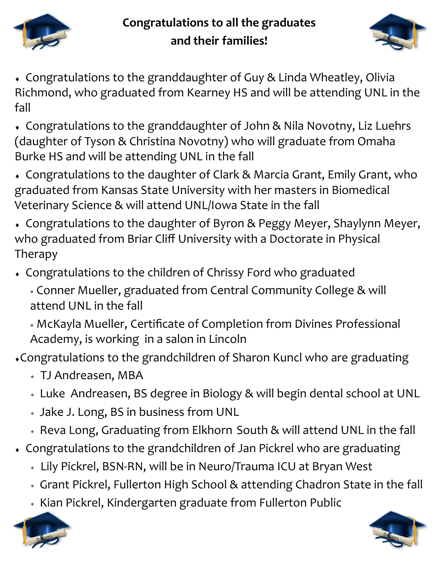

# **Congratulations to all the graduates and their families!**



 Congratulations to the granddaughter of Guy & Linda Wheatley, Olivia Richmond, who graduated from Kearney HS and will be attending UNL in the fall

 Congratulations to the granddaughter of John & Nila Novotny, Liz Luehrs (daughter of Tyson & Christina Novotny) who will graduate from Omaha Burke HS and will be attending UNL in the fall

 Congratulations to the daughter of Clark & Marcia Grant, Emily Grant, who graduated from Kansas State University with her masters in Biomedical Veterinary Science & will attend UNL/Iowa State in the fall

 Congratulations to the daughter of Byron & Peggy Meyer, Shaylynn Meyer, who graduated from Briar Cliff University with a Doctorate in Physical Therapy

Congratulations to the children of Chrissy Ford who graduated

 Conner Mueller, graduated from Central Community College & will attend UNL in the fall

 McKayla Mueller, Certificate of Completion from Divines Professional Academy, is working in a salon in Lincoln

Congratulations to the grandchildren of Sharon Kuncl who are graduating

- TJ Andreasen, MBA
- Luke Andreasen, BS degree in Biology & will begin dental school at UNL
- Jake J. Long, BS in business from UNL
- Reva Long, Graduating from Elkhorn South & will attend UNL in the fall
- Congratulations to the grandchildren of Jan Pickrel who are graduating
	- Lily Pickrel, BSN-RN, will be in Neuro/Trauma ICU at Bryan West
	- Grant Pickrel, Fullerton High School & attending Chadron State in the fall
	- \* Kian Pickrel, Kindergarten graduate from Fullerton Public



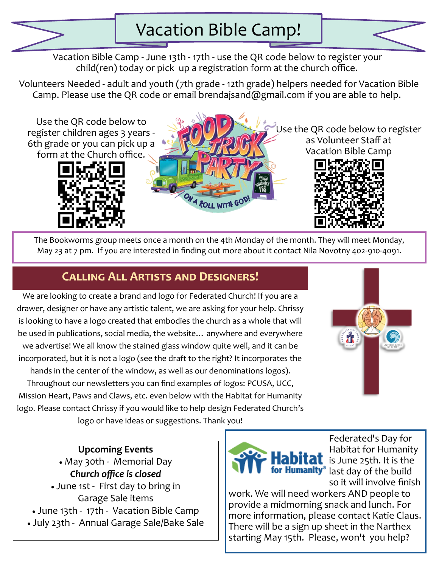

Vacation Bible Camp - June 13th - 17th - use the QR code below to register your child(ren) today or pick up a registration form at the church office.

Volunteers Needed - adult and youth (7th grade - 12th grade) helpers needed for Vacation Bible Camp. Please use the QR code or email brendajsand@gmail.com if you are able to help.

Use the QR code below to register children ages 3 years - 6th grade or you can pick up a form at the Church office.





Use the QR code below to register as Volunteer Staff at Vacation Bible Camp



The Bookworms group meets once a month on the 4th Monday of the month. They will meet Monday, May 23 at 7 pm. If you are interested in finding out more about it contact Nila Novotny 402-910-4091.

# **Calling All Artists and Designers!**

We are looking to create a brand and logo for Federated Church! If you are a drawer, designer or have any artistic talent, we are asking for your help. Chrissy is looking to have a logo created that embodies the church as a whole that will be used in publications, social media, the website… anywhere and everywhere we advertise! We all know the stained glass window quite well, and it can be incorporated, but it is not a logo (see the draft to the right? It incorporates the hands in the center of the window, as well as our denominations logos). Throughout our newsletters you can find examples of logos: PCUSA, UCC, Mission Heart, Paws and Claws, etc. even below with the Habitat for Humanity logo. Please contact Chrissy if you would like to help design Federated Church's **Alle** 

logo or have ideas or suggestions. Thank you!

# **Upcoming Events**

• May 30th - Memorial Day *Church office is closed*

• June 1st - First day to bring in Garage Sale items • June 13th - 17th - Vacation Bible Camp

• July 23th - Annual Garage Sale/Bake Sale



Federated's Day for Habitat for Humanity  $\mathsf{I}$  is June 25th. It is the for Humanity<sup>®</sup> last day of the build so it will involve finish

work. We will need workers AND people to provide a midmorning snack and lunch. For more information, please contact Katie Claus. There will be a sign up sheet in the Narthex starting May 15th. Please, won't you help?